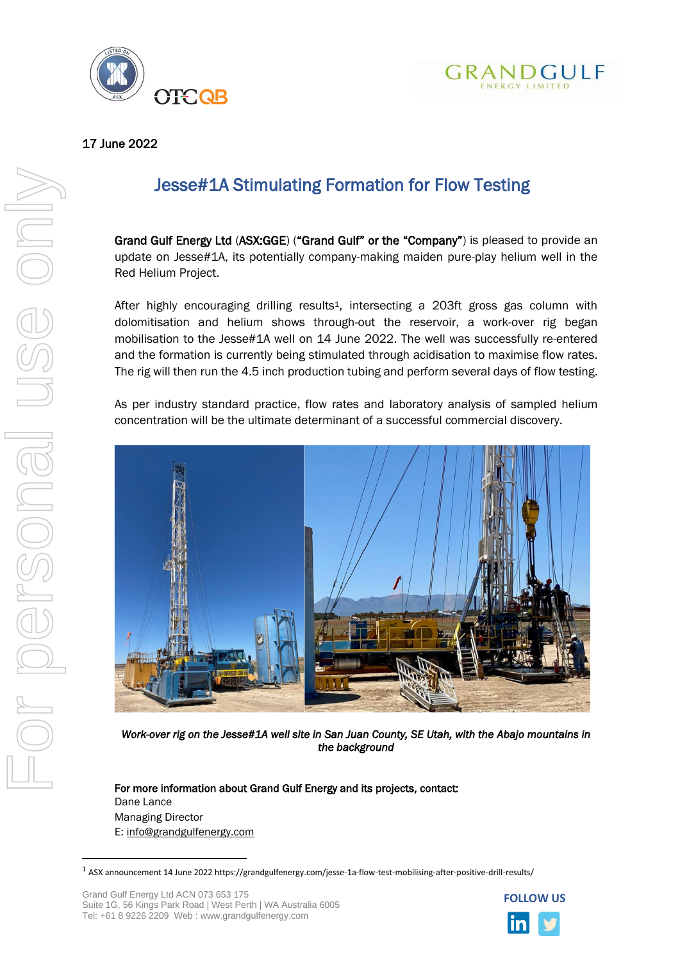



# 17 June 2022

# Jesse#1A Stimulating Formation for Flow Testing

Grand Gulf Energy Ltd (ASX:GGE) ("Grand Gulf" or the "Company") is pleased to provide an update on Jesse#1A, its potentially company-making maiden pure-play helium well in the Red Helium Project.

After highly encouraging drilling results<sup>1</sup>, intersecting a 203ft gross gas column with dolomitisation and helium shows through-out the reservoir, a work-over rig began mobilisation to the Jesse#1A well on 14 June 2022. The well was successfully re-entered and the formation is currently being stimulated through acidisation to maximise flow rates. The rig will then run the 4.5 inch production tubing and perform several days of flow testing.

As per industry standard practice, flow rates and laboratory analysis of sampled helium concentration will be the ultimate determinant of a successful commercial discovery.



*Work-over rig on the Jesse#1A well site in San Juan County, SE Utah, with the Abajo mountains in the background* 

For more information about Grand Gulf Energy and its projects, contact: Dane Lance Managing Director E: [info@grandgulfenergy.com](mailto:info@grandgulfenergy.com)



 $1$  ASX announcement 14 June 2022 https://grandgulfenergy.com/jesse-1a-flow-test-mobilising-after-positive-drill-results/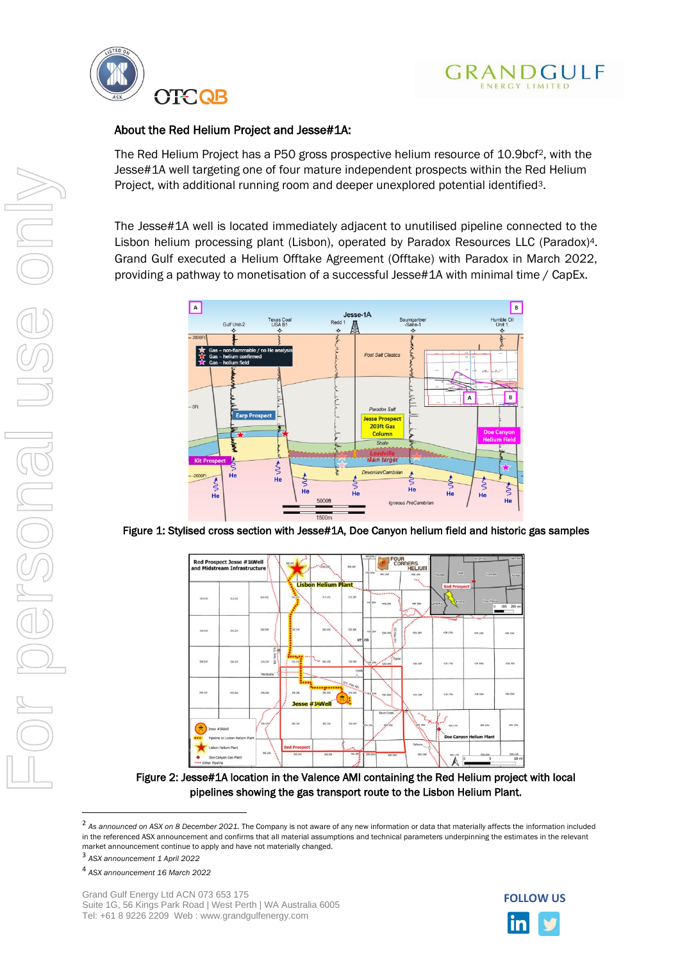



# About the Red Helium Project and Jesse#1A:

The Red Helium Project has a P50 gross prospective helium resource of 10.9bcf2, with the Jesse#1A well targeting one of four mature independent prospects within the Red Helium Project, with additional running room and deeper unexplored potential identified3.

The Jesse#1A well is located immediately adjacent to unutilised pipeline connected to the Lisbon helium processing plant (Lisbon), operated by Paradox Resources LLC (Paradox)4. Grand Gulf executed a Helium Offtake Agreement (Offtake) with Paradox in March 2022, providing a pathway to monetisation of a successful Jesse#1A with minimal time / CapEx.



Figure 1: Stylised cross section with Jesse#1A, Doe Canyon helium field and historic gas samples



Figure 2: Jesse#1A location in the Valence AMI containing the Red Helium project with local pipelines showing the gas transport route to the Lisbon Helium Plant.



<sup>&</sup>lt;sup>2</sup> As announced on ASX on 8 December 2021. The Company is not aware of any new information or data that materially affects the information included in the referenced ASX announcement and confirms that all material assumptions and technical parameters underpinning the estimates in the relevant market announcement continue to apply and have not materially changed.

<sup>3</sup> *ASX announcement 1 April 2022*

<sup>4</sup> *ASX announcement 16 March 2022*